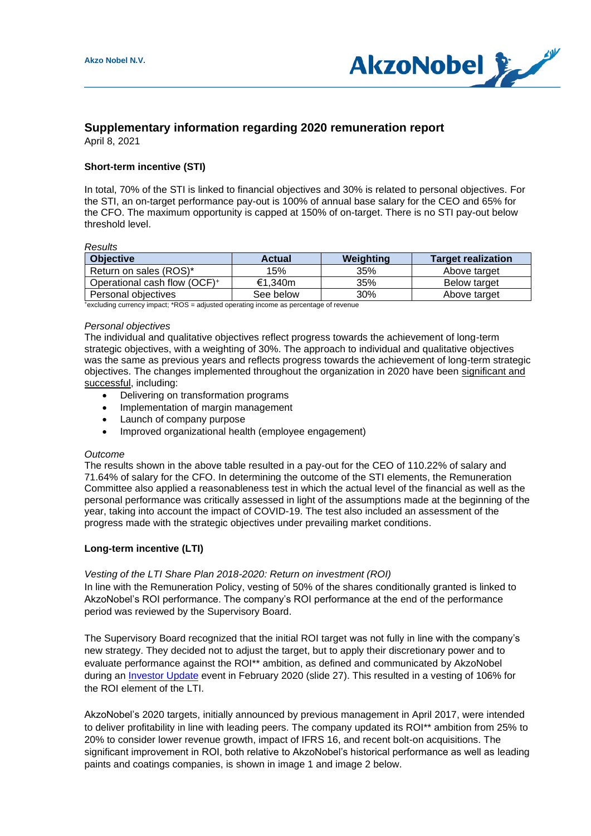

# **Supplementary information regarding 2020 remuneration report**

April 8, 2021

# **Short-term incentive (STI)**

In total, 70% of the STI is linked to financial objectives and 30% is related to personal objectives. For the STI, an on-target performance pay-out is 100% of annual base salary for the CEO and 65% for the CFO. The maximum opportunity is capped at 150% of on-target. There is no STI pay-out below threshold level.

#### *Results*

| <b>Objective</b>                         | <b>Actual</b> | Weighting | <b>Target realization</b> |
|------------------------------------------|---------------|-----------|---------------------------|
| Return on sales (ROS)*                   | 15%           | 35%       | Above target              |
| Operational cash flow (OCF) <sup>+</sup> | €1.340m       | 35%       | Below target              |
| Personal objectives                      | See below     | 30%       | Above target              |

<sup>+</sup>excluding currency impact; \*ROS = adjusted operating income as percentage of revenue

#### *Personal objectives*

The individual and qualitative objectives reflect progress towards the achievement of long-term strategic objectives, with a weighting of 30%. The approach to individual and qualitative objectives was the same as previous years and reflects progress towards the achievement of long-term strategic objectives. The changes implemented throughout the organization in 2020 have been significant and successful, including:

- Delivering on transformation programs
- Implementation of margin management
- Launch of company purpose
- Improved organizational health (employee engagement)

#### *Outcome*

The results shown in the above table resulted in a pay-out for the CEO of 110.22% of salary and 71.64% of salary for the CFO. In determining the outcome of the STI elements, the Remuneration Committee also applied a reasonableness test in which the actual level of the financial as well as the personal performance was critically assessed in light of the assumptions made at the beginning of the year, taking into account the impact of COVID-19. The test also included an assessment of the progress made with the strategic objectives under prevailing market conditions.

## **Long-term incentive (LTI)**

## *Vesting of the LTI Share Plan 2018-2020: Return on investment (ROI)*

In line with the Remuneration Policy, vesting of 50% of the shares conditionally granted is linked to AkzoNobel's ROI performance. The company's ROI performance at the end of the performance period was reviewed by the Supervisory Board.

The Supervisory Board recognized that the initial ROI target was not fully in line with the company's new strategy. They decided not to adjust the target, but to apply their discretionary power and to evaluate performance against the ROI\*\* ambition, as defined and communicated by AkzoNobel during an [Investor Update](https://www.akzonobel.com/content/dam/akzonobel-corporate/global/en/investor-relations-images/strategic-update/20200213_investor_update_-_2020_and_beyond_pdf_1.pdf) event in February 2020 (slide 27). This resulted in a vesting of 106% for the ROI element of the LTI.

AkzoNobel's 2020 targets, initially announced by previous management in April 2017, were intended to deliver profitability in line with leading peers. The company updated its ROI<sup>\*\*</sup> ambition from 25% to 20% to consider lower revenue growth, impact of IFRS 16, and recent bolt-on acquisitions. The significant improvement in ROI, both relative to AkzoNobel's historical performance as well as leading paints and coatings companies, is shown in image 1 and image 2 below.